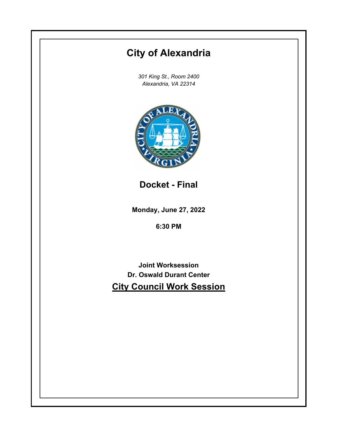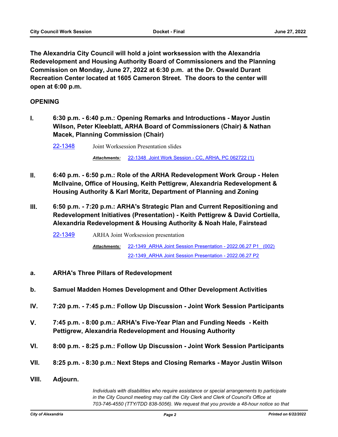**The Alexandria City Council will hold a joint worksession with the Alexandria Redevelopment and Housing Authority Board of Commissioners and the Planning Commission on Monday, June 27, 2022 at 6:30 p.m. at the Dr. Oswald Durant Recreation Center located at 1605 Cameron Street. The doors to the center will open at 6:00 p.m.**

## **OPENING**

**I. 6:30 p.m. - 6:40 p.m.: Opening Remarks and Introductions - Mayor Justin Wilson, Peter Kleeblatt, ARHA Board of Commissioners (Chair) & Nathan Macek, Planning Commission (Chair)**

[22-1348](http://alexandria.legistar.com/gateway.aspx?m=l&id=/matter.aspx?key=14946) Joint Worksession Presentation slides

*Attachments:* [22-1348\\_Joint Work Session - CC, ARHA, PC 062722 \(1\)](http://alexandria.legistar.com/gateway.aspx?M=F&ID=ef4d7623-df74-4804-9397-2d375b804bf9.pptx)

- **II. 6:40 p.m. 6:50 p.m.: Role of the ARHA Redevelopment Work Group Helen McIlvaine, Office of Housing, Keith Pettigrew, Alexandria Redevelopment & Housing Authority & Karl Moritz, Department of Planning and Zoning**
- **III. 6:50 p.m. 7:20 p.m.: ARHA's Strategic Plan and Current Repositioning and Redevelopment Initiatives (Presentation) - Keith Pettigrew & David Cortiella, Alexandria Redevelopment & Housing Authority & Noah Hale, Fairstead**

[22-1349](http://alexandria.legistar.com/gateway.aspx?m=l&id=/matter.aspx?key=14947) ARHA Joint Worksession presentation [22-1349\\_ARHA Joint Session Presentation - 2022.06.27 P1\\_ \(002\)](http://alexandria.legistar.com/gateway.aspx?M=F&ID=64954cea-9613-4cb0-8a6a-c65619a18aa9.pdf) *Attachments:* [22-1349\\_ARHA Joint Session Presentation - 2022.06.27 P2](http://alexandria.legistar.com/gateway.aspx?M=F&ID=4be8ccf2-2e56-4bc5-bc7f-08a5c142ad10.pdf)

- **a. ARHA's Three Pillars of Redevelopment**
- **b. Samuel Madden Homes Development and Other Development Activities**
- **IV. 7:20 p.m. 7:45 p.m.: Follow Up Discussion Joint Work Session Participants**
- **V. 7:45 p.m. 8:00 p.m.: ARHA's Five-Year Plan and Funding Needs Keith Pettigrew, Alexandria Redevelopment and Housing Authority**
- **VI. 8:00 p.m. 8:25 p.m.: Follow Up Discussion Joint Work Session Participants**
- **VII. 8:25 p.m. 8:30 p.m.: Next Steps and Closing Remarks Mayor Justin Wilson**
- **VIII. Adjourn.**

*Individuals with disabilities who require assistance or special arrangements to participate in the City Council meeting may call the City Clerk and Clerk of Council's Office at 703-746-4550 (TTY/TDD 838-5056). We request that you provide a 48-hour notice so that*